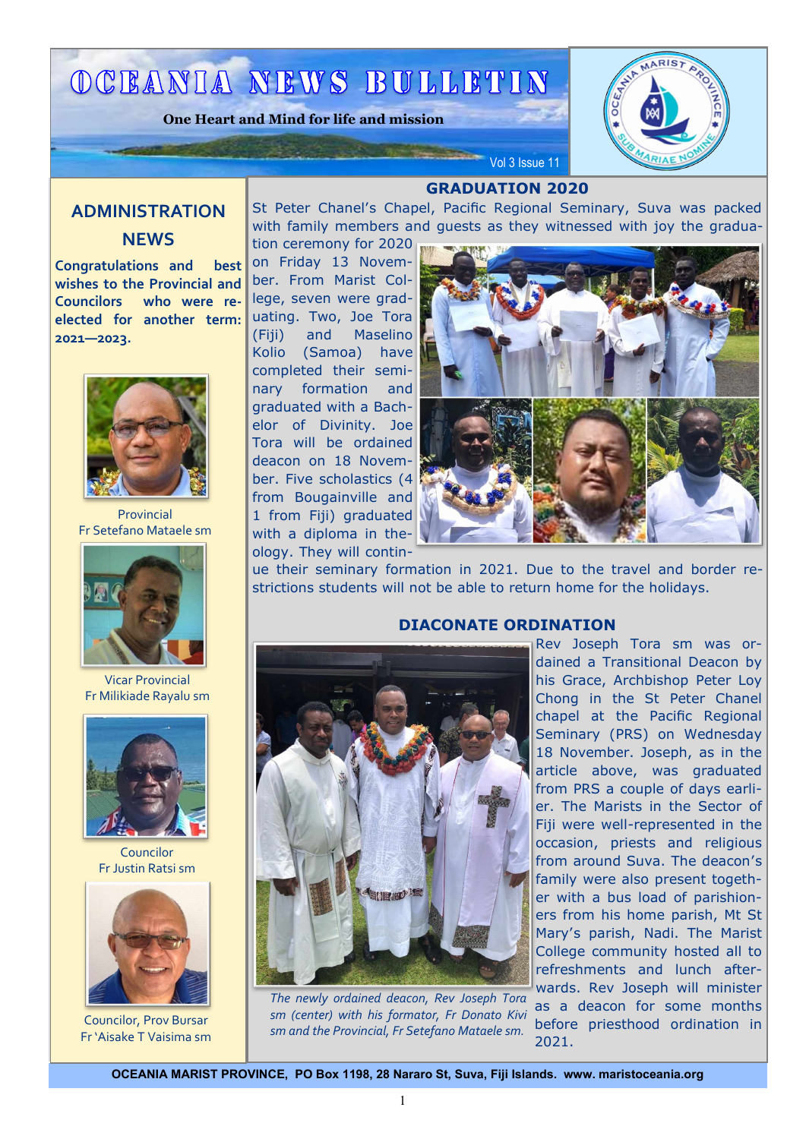## OCEANIA NEWS BULLETIN

**One Heart and Mind for life and mission**



## **ADMINISTRATION NEWS**

**Congratulations and best wishes to the Provincial and Councilors who were reelected for another term: 2021—2023.**



Provincial Fr Setefano Mataele sm



Vicar Provincial Fr Milikiade Rayalu sm



Councilor Fr Justin Ratsi sm



Councilor, Prov Bursar Fr 'Aisake T Vaisima sm

**GRADUATION 2020**

Vol 3 Issue 11

St Peter Chanel's Chapel, Pacific Regional Seminary, Suva was packed with family members and guests as they witnessed with joy the gradua-

tion ceremony for 2020 on Friday 13 November. From Marist College, seven were graduating. Two, Joe Tora (Fiji) and Maselino Kolio (Samoa) have completed their seminary formation and graduated with a Bachelor of Divinity. Joe Tora will be ordained deacon on 18 November. Five scholastics (4 from Bougainville and 1 from Fiji) graduated with a diploma in theology. They will contin-



ue their seminary formation in 2021. Due to the travel and border restrictions students will not be able to return home for the holidays.



*The newly ordained deacon, Rev Joseph Tora sm (center) with his formator, Fr Donato Kivi sm and the Provincial, Fr Setefano Mataele sm.* 

#### **DIACONATE ORDINATION**

Rev Joseph Tora sm was ordained a Transitional Deacon by his Grace, Archbishop Peter Loy Chong in the St Peter Chanel chapel at the Pacific Regional Seminary (PRS) on Wednesday 18 November. Joseph, as in the article above, was graduated from PRS a couple of days earlier. The Marists in the Sector of Fiji were well-represented in the occasion, priests and religious from around Suva. The deacon's family were also present together with a bus load of parishioners from his home parish, Mt St Mary's parish, Nadi. The Marist College community hosted all to refreshments and lunch afterwards. Rev Joseph will minister as a deacon for some months before priesthood ordination in 2021.

OCEANIA MARIST PROVINCE, PO Box 1198, 28 Nararo St, Suva, Fiji Islands. www. maristoceania.org